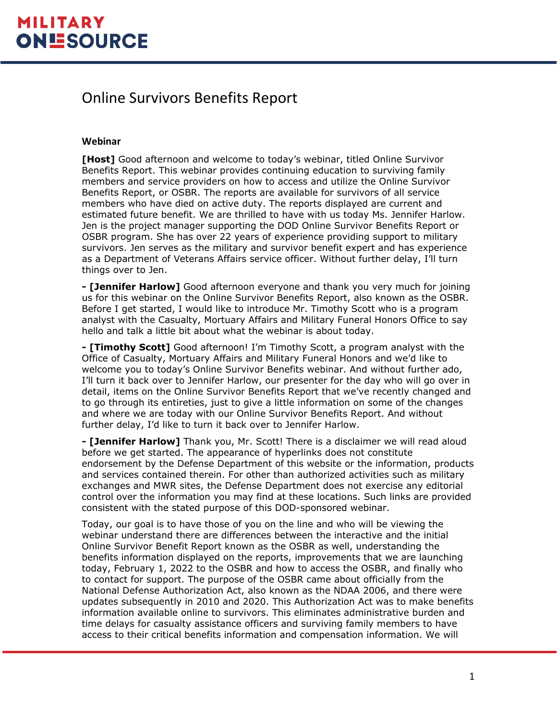#### Online Survivors Benefits Report

#### **Webinar**

**[Host]** Good afternoon and welcome to today's webinar, titled Online Survivor Benefits Report. This webinar provides continuing education to surviving family members and service providers on how to access and utilize the Online Survivor Benefits Report, or OSBR. The reports are available for survivors of all service members who have died on active duty. The reports displayed are current and estimated future benefit. We are thrilled to have with us today Ms. Jennifer Harlow. Jen is the project manager supporting the DOD Online Survivor Benefits Report or OSBR program. She has over 22 years of experience providing support to military survivors. Jen serves as the military and survivor benefit expert and has experience as a Department of Veterans Affairs service officer. Without further delay, I'll turn things over to Jen.

**- [Jennifer Harlow]** Good afternoon everyone and thank you very much for joining us for this webinar on the Online Survivor Benefits Report, also known as the OSBR. Before I get started, I would like to introduce Mr. Timothy Scott who is a program analyst with the Casualty, Mortuary Affairs and Military Funeral Honors Office to say hello and talk a little bit about what the webinar is about today.

**- [Timothy Scott]** Good afternoon! I'm Timothy Scott, a program analyst with the Office of Casualty, Mortuary Affairs and Military Funeral Honors and we'd like to welcome you to today's Online Survivor Benefits webinar. And without further ado, I'll turn it back over to Jennifer Harlow, our presenter for the day who will go over in detail, items on the Online Survivor Benefits Report that we've recently changed and to go through its entireties, just to give a little information on some of the changes and where we are today with our Online Survivor Benefits Report. And without further delay, I'd like to turn it back over to Jennifer Harlow.

**- [Jennifer Harlow]** Thank you, Mr. Scott! There is a disclaimer we will read aloud before we get started. The appearance of hyperlinks does not constitute endorsement by the Defense Department of this website or the information, products and services contained therein. For other than authorized activities such as military exchanges and MWR sites, the Defense Department does not exercise any editorial control over the information you may find at these locations. Such links are provided consistent with the stated purpose of this DOD-sponsored webinar.

Today, our goal is to have those of you on the line and who will be viewing the webinar understand there are differences between the interactive and the initial Online Survivor Benefit Report known as the OSBR as well, understanding the benefits information displayed on the reports, improvements that we are launching today, February 1, 2022 to the OSBR and how to access the OSBR, and finally who to contact for support. The purpose of the OSBR came about officially from the National Defense Authorization Act, also known as the NDAA 2006, and there were updates subsequently in 2010 and 2020. This Authorization Act was to make benefits information available online to survivors. This eliminates administrative burden and time delays for casualty assistance officers and surviving family members to have access to their critical benefits information and compensation information. We will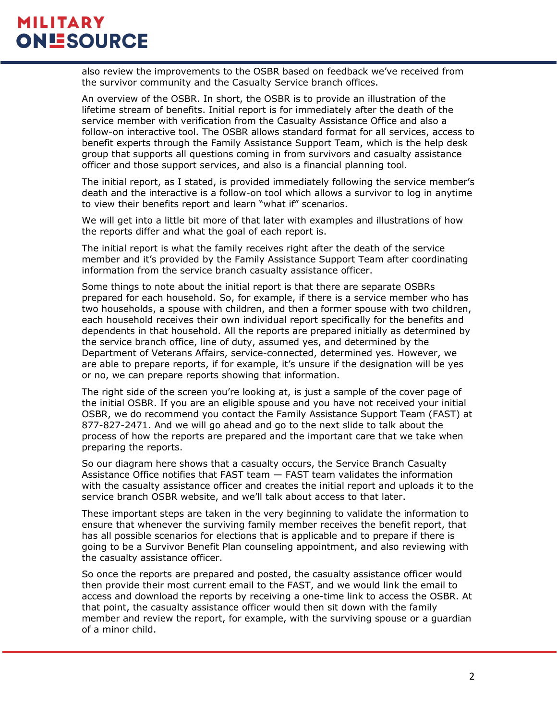also review the improvements to the OSBR based on feedback we've received from the survivor community and the Casualty Service branch offices.

An overview of the OSBR. In short, the OSBR is to provide an illustration of the lifetime stream of benefits. Initial report is for immediately after the death of the service member with verification from the Casualty Assistance Office and also a follow-on interactive tool. The OSBR allows standard format for all services, access to benefit experts through the Family Assistance Support Team, which is the help desk group that supports all questions coming in from survivors and casualty assistance officer and those support services, and also is a financial planning tool.

The initial report, as I stated, is provided immediately following the service member's death and the interactive is a follow-on tool which allows a survivor to log in anytime to view their benefits report and learn "what if" scenarios.

We will get into a little bit more of that later with examples and illustrations of how the reports differ and what the goal of each report is.

The initial report is what the family receives right after the death of the service member and it's provided by the Family Assistance Support Team after coordinating information from the service branch casualty assistance officer.

Some things to note about the initial report is that there are separate OSBRs prepared for each household. So, for example, if there is a service member who has two households, a spouse with children, and then a former spouse with two children, each household receives their own individual report specifically for the benefits and dependents in that household. All the reports are prepared initially as determined by the service branch office, line of duty, assumed yes, and determined by the Department of Veterans Affairs, service-connected, determined yes. However, we are able to prepare reports, if for example, it's unsure if the designation will be yes or no, we can prepare reports showing that information.

The right side of the screen you're looking at, is just a sample of the cover page of the initial OSBR. If you are an eligible spouse and you have not received your initial OSBR, we do recommend you contact the Family Assistance Support Team (FAST) at 877-827-2471. And we will go ahead and go to the next slide to talk about the process of how the reports are prepared and the important care that we take when preparing the reports.

So our diagram here shows that a casualty occurs, the Service Branch Casualty Assistance Office notifies that FAST team — FAST team validates the information with the casualty assistance officer and creates the initial report and uploads it to the service branch OSBR website, and we'll talk about access to that later.

These important steps are taken in the very beginning to validate the information to ensure that whenever the surviving family member receives the benefit report, that has all possible scenarios for elections that is applicable and to prepare if there is going to be a Survivor Benefit Plan counseling appointment, and also reviewing with the casualty assistance officer.

So once the reports are prepared and posted, the casualty assistance officer would then provide their most current email to the FAST, and we would link the email to access and download the reports by receiving a one-time link to access the OSBR. At that point, the casualty assistance officer would then sit down with the family member and review the report, for example, with the surviving spouse or a guardian of a minor child.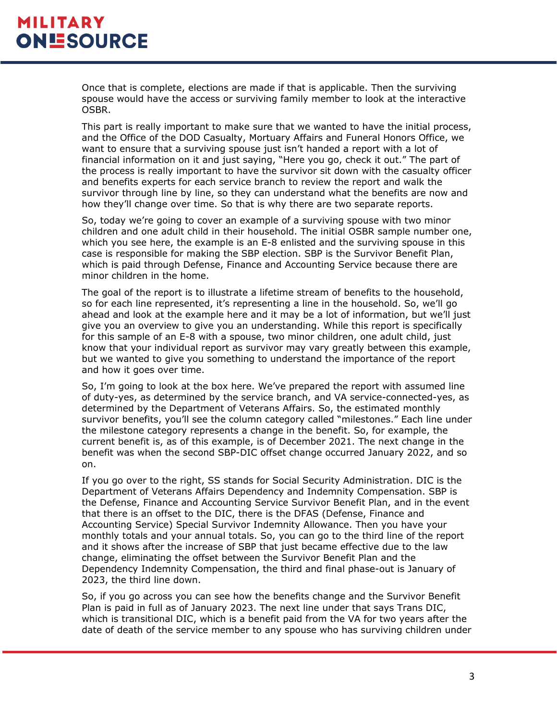Once that is complete, elections are made if that is applicable. Then the surviving spouse would have the access or surviving family member to look at the interactive OSBR.

This part is really important to make sure that we wanted to have the initial process, and the Office of the DOD Casualty, Mortuary Affairs and Funeral Honors Office, we want to ensure that a surviving spouse just isn't handed a report with a lot of financial information on it and just saying, "Here you go, check it out." The part of the process is really important to have the survivor sit down with the casualty officer and benefits experts for each service branch to review the report and walk the survivor through line by line, so they can understand what the benefits are now and how they'll change over time. So that is why there are two separate reports.

So, today we're going to cover an example of a surviving spouse with two minor children and one adult child in their household. The initial OSBR sample number one, which you see here, the example is an E-8 enlisted and the surviving spouse in this case is responsible for making the SBP election. SBP is the Survivor Benefit Plan, which is paid through Defense, Finance and Accounting Service because there are minor children in the home.

The goal of the report is to illustrate a lifetime stream of benefits to the household, so for each line represented, it's representing a line in the household. So, we'll go ahead and look at the example here and it may be a lot of information, but we'll just give you an overview to give you an understanding. While this report is specifically for this sample of an E-8 with a spouse, two minor children, one adult child, just know that your individual report as survivor may vary greatly between this example, but we wanted to give you something to understand the importance of the report and how it goes over time.

So, I'm going to look at the box here. We've prepared the report with assumed line of duty-yes, as determined by the service branch, and VA service-connected-yes, as determined by the Department of Veterans Affairs. So, the estimated monthly survivor benefits, you'll see the column category called "milestones." Each line under the milestone category represents a change in the benefit. So, for example, the current benefit is, as of this example, is of December 2021. The next change in the benefit was when the second SBP-DIC offset change occurred January 2022, and so on.

If you go over to the right, SS stands for Social Security Administration. DIC is the Department of Veterans Affairs Dependency and Indemnity Compensation. SBP is the Defense, Finance and Accounting Service Survivor Benefit Plan, and in the event that there is an offset to the DIC, there is the DFAS (Defense, Finance and Accounting Service) Special Survivor Indemnity Allowance. Then you have your monthly totals and your annual totals. So, you can go to the third line of the report and it shows after the increase of SBP that just became effective due to the law change, eliminating the offset between the Survivor Benefit Plan and the Dependency Indemnity Compensation, the third and final phase-out is January of 2023, the third line down.

So, if you go across you can see how the benefits change and the Survivor Benefit Plan is paid in full as of January 2023. The next line under that says Trans DIC, which is transitional DIC, which is a benefit paid from the VA for two years after the date of death of the service member to any spouse who has surviving children under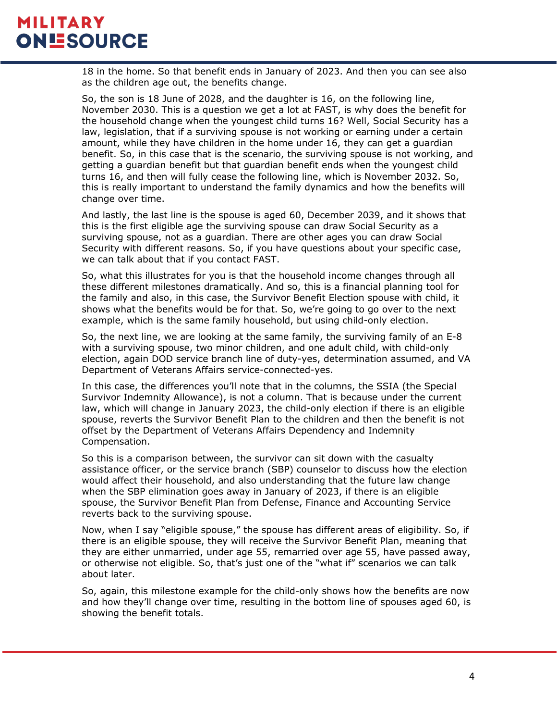18 in the home. So that benefit ends in January of 2023. And then you can see also as the children age out, the benefits change.

So, the son is 18 June of 2028, and the daughter is 16, on the following line, November 2030. This is a question we get a lot at FAST, is why does the benefit for the household change when the youngest child turns 16? Well, Social Security has a law, legislation, that if a surviving spouse is not working or earning under a certain amount, while they have children in the home under 16, they can get a guardian benefit. So, in this case that is the scenario, the surviving spouse is not working, and getting a guardian benefit but that guardian benefit ends when the youngest child turns 16, and then will fully cease the following line, which is November 2032. So, this is really important to understand the family dynamics and how the benefits will change over time.

And lastly, the last line is the spouse is aged 60, December 2039, and it shows that this is the first eligible age the surviving spouse can draw Social Security as a surviving spouse, not as a guardian. There are other ages you can draw Social Security with different reasons. So, if you have questions about your specific case, we can talk about that if you contact FAST.

So, what this illustrates for you is that the household income changes through all these different milestones dramatically. And so, this is a financial planning tool for the family and also, in this case, the Survivor Benefit Election spouse with child, it shows what the benefits would be for that. So, we're going to go over to the next example, which is the same family household, but using child-only election.

So, the next line, we are looking at the same family, the surviving family of an E-8 with a surviving spouse, two minor children, and one adult child, with child-only election, again DOD service branch line of duty-yes, determination assumed, and VA Department of Veterans Affairs service-connected-yes.

In this case, the differences you'll note that in the columns, the SSIA (the Special Survivor Indemnity Allowance), is not a column. That is because under the current law, which will change in January 2023, the child-only election if there is an eligible spouse, reverts the Survivor Benefit Plan to the children and then the benefit is not offset by the Department of Veterans Affairs Dependency and Indemnity Compensation.

So this is a comparison between, the survivor can sit down with the casualty assistance officer, or the service branch (SBP) counselor to discuss how the election would affect their household, and also understanding that the future law change when the SBP elimination goes away in January of 2023, if there is an eligible spouse, the Survivor Benefit Plan from Defense, Finance and Accounting Service reverts back to the surviving spouse.

Now, when I say "eligible spouse," the spouse has different areas of eligibility. So, if there is an eligible spouse, they will receive the Survivor Benefit Plan, meaning that they are either unmarried, under age 55, remarried over age 55, have passed away, or otherwise not eligible. So, that's just one of the "what if" scenarios we can talk about later.

So, again, this milestone example for the child-only shows how the benefits are now and how they'll change over time, resulting in the bottom line of spouses aged 60, is showing the benefit totals.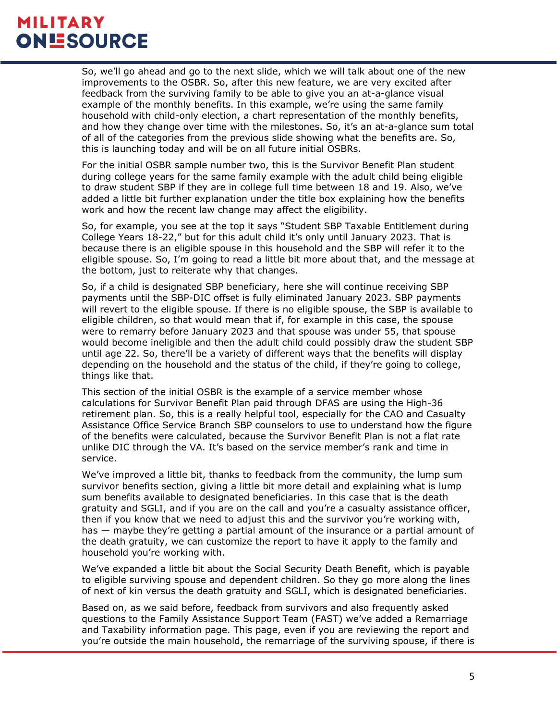So, we'll go ahead and go to the next slide, which we will talk about one of the new improvements to the OSBR. So, after this new feature, we are very excited after feedback from the surviving family to be able to give you an at-a-glance visual example of the monthly benefits. In this example, we're using the same family household with child-only election, a chart representation of the monthly benefits, and how they change over time with the milestones. So, it's an at-a-glance sum total of all of the categories from the previous slide showing what the benefits are. So, this is launching today and will be on all future initial OSBRs.

For the initial OSBR sample number two, this is the Survivor Benefit Plan student during college years for the same family example with the adult child being eligible to draw student SBP if they are in college full time between 18 and 19. Also, we've added a little bit further explanation under the title box explaining how the benefits work and how the recent law change may affect the eligibility.

So, for example, you see at the top it says "Student SBP Taxable Entitlement during College Years 18-22," but for this adult child it's only until January 2023. That is because there is an eligible spouse in this household and the SBP will refer it to the eligible spouse. So, I'm going to read a little bit more about that, and the message at the bottom, just to reiterate why that changes.

So, if a child is designated SBP beneficiary, here she will continue receiving SBP payments until the SBP-DIC offset is fully eliminated January 2023. SBP payments will revert to the eligible spouse. If there is no eligible spouse, the SBP is available to eligible children, so that would mean that if, for example in this case, the spouse were to remarry before January 2023 and that spouse was under 55, that spouse would become ineligible and then the adult child could possibly draw the student SBP until age 22. So, there'll be a variety of different ways that the benefits will display depending on the household and the status of the child, if they're going to college, things like that.

This section of the initial OSBR is the example of a service member whose calculations for Survivor Benefit Plan paid through DFAS are using the High-36 retirement plan. So, this is a really helpful tool, especially for the CAO and Casualty Assistance Office Service Branch SBP counselors to use to understand how the figure of the benefits were calculated, because the Survivor Benefit Plan is not a flat rate unlike DIC through the VA. It's based on the service member's rank and time in service.

We've improved a little bit, thanks to feedback from the community, the lump sum survivor benefits section, giving a little bit more detail and explaining what is lump sum benefits available to designated beneficiaries. In this case that is the death gratuity and SGLI, and if you are on the call and you're a casualty assistance officer, then if you know that we need to adjust this and the survivor you're working with, has — maybe they're getting a partial amount of the insurance or a partial amount of the death gratuity, we can customize the report to have it apply to the family and household you're working with.

We've expanded a little bit about the Social Security Death Benefit, which is payable to eligible surviving spouse and dependent children. So they go more along the lines of next of kin versus the death gratuity and SGLI, which is designated beneficiaries.

Based on, as we said before, feedback from survivors and also frequently asked questions to the Family Assistance Support Team (FAST) we've added a Remarriage and Taxability information page. This page, even if you are reviewing the report and you're outside the main household, the remarriage of the surviving spouse, if there is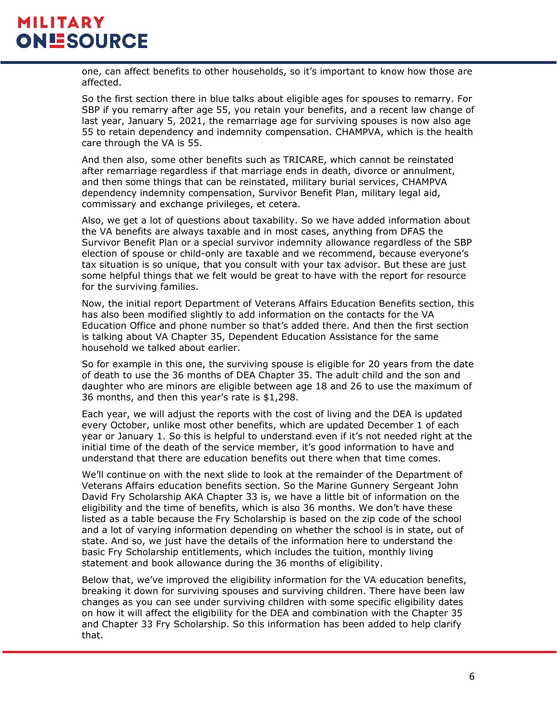one, can affect benefits to other households, so it's important to know how those are affected.

So the first section there in blue talks about eligible ages for spouses to remarry. For SBP if you remarry after age 55, you retain your benefits, and a recent law change of last year, January 5, 2021, the remarriage age for surviving spouses is now also age 55 to retain dependency and indemnity compensation. CHAMPVA, which is the health care through the VA is 55.

And then also, some other benefits such as TRICARE, which cannot be reinstated after remarriage regardless if that marriage ends in death, divorce or annulment, and then some things that can be reinstated, military burial services, CHAMPVA dependency indemnity compensation, Survivor Benefit Plan, military legal aid, commissary and exchange privileges, et cetera.

Also, we get a lot of questions about taxability. So we have added information about the VA benefits are always taxable and in most cases, anything from DFAS the Survivor Benefit Plan or a special survivor indemnity allowance regardless of the SBP election of spouse or child-only are taxable and we recommend, because everyone's tax situation is so unique, that you consult with your tax advisor. But these are just some helpful things that we felt would be great to have with the report for resource for the surviving families.

Now, the initial report Department of Veterans Affairs Education Benefits section, this has also been modified slightly to add information on the contacts for the VA Education Office and phone number so that's added there. And then the first section is talking about VA Chapter 35, Dependent Education Assistance for the same household we talked about earlier.

So for example in this one, the surviving spouse is eligible for 20 years from the date of death to use the 36 months of DEA Chapter 35. The adult child and the son and daughter who are minors are eligible between age 18 and 26 to use the maximum of 36 months, and then this year's rate is \$1,298.

Each year, we will adjust the reports with the cost of living and the DEA is updated every October, unlike most other benefits, which are updated December 1 of each year or January 1. So this is helpful to understand even if it's not needed right at the initial time of the death of the service member, it's good information to have and understand that there are education benefits out there when that time comes.

We'll continue on with the next slide to look at the remainder of the Department of Veterans Affairs education benefits section. So the Marine Gunnery Sergeant John David Fry Scholarship AKA Chapter 33 is, we have a little bit of information on the eligibility and the time of benefits, which is also 36 months. We don't have these listed as a table because the Fry Scholarship is based on the zip code of the school and a lot of varying information depending on whether the school is in state, out of state. And so, we just have the details of the information here to understand the basic Fry Scholarship entitlements, which includes the tuition, monthly living statement and book allowance during the 36 months of eligibility.

Below that, we've improved the eligibility information for the VA education benefits, breaking it down for surviving spouses and surviving children. There have been law changes as you can see under surviving children with some specific eligibility dates on how it will affect the eligibility for the DEA and combination with the Chapter 35 and Chapter 33 Fry Scholarship. So this information has been added to help clarify that.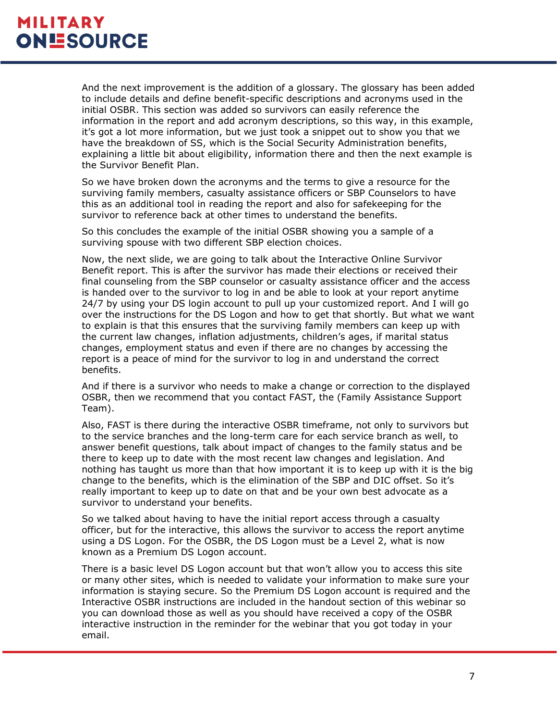And the next improvement is the addition of a glossary. The glossary has been added to include details and define benefit-specific descriptions and acronyms used in the initial OSBR. This section was added so survivors can easily reference the information in the report and add acronym descriptions, so this way, in this example, it's got a lot more information, but we just took a snippet out to show you that we have the breakdown of SS, which is the Social Security Administration benefits, explaining a little bit about eligibility, information there and then the next example is the Survivor Benefit Plan.

So we have broken down the acronyms and the terms to give a resource for the surviving family members, casualty assistance officers or SBP Counselors to have this as an additional tool in reading the report and also for safekeeping for the survivor to reference back at other times to understand the benefits.

So this concludes the example of the initial OSBR showing you a sample of a surviving spouse with two different SBP election choices.

Now, the next slide, we are going to talk about the Interactive Online Survivor Benefit report. This is after the survivor has made their elections or received their final counseling from the SBP counselor or casualty assistance officer and the access is handed over to the survivor to log in and be able to look at your report anytime 24/7 by using your DS login account to pull up your customized report. And I will go over the instructions for the DS Logon and how to get that shortly. But what we want to explain is that this ensures that the surviving family members can keep up with the current law changes, inflation adjustments, children's ages, if marital status changes, employment status and even if there are no changes by accessing the report is a peace of mind for the survivor to log in and understand the correct benefits.

And if there is a survivor who needs to make a change or correction to the displayed OSBR, then we recommend that you contact FAST, the (Family Assistance Support Team).

Also, FAST is there during the interactive OSBR timeframe, not only to survivors but to the service branches and the long-term care for each service branch as well, to answer benefit questions, talk about impact of changes to the family status and be there to keep up to date with the most recent law changes and legislation. And nothing has taught us more than that how important it is to keep up with it is the big change to the benefits, which is the elimination of the SBP and DIC offset. So it's really important to keep up to date on that and be your own best advocate as a survivor to understand your benefits.

So we talked about having to have the initial report access through a casualty officer, but for the interactive, this allows the survivor to access the report anytime using a DS Logon. For the OSBR, the DS Logon must be a Level 2, what is now known as a Premium DS Logon account.

There is a basic level DS Logon account but that won't allow you to access this site or many other sites, which is needed to validate your information to make sure your information is staying secure. So the Premium DS Logon account is required and the Interactive OSBR instructions are included in the handout section of this webinar so you can download those as well as you should have received a copy of the OSBR interactive instruction in the reminder for the webinar that you got today in your email.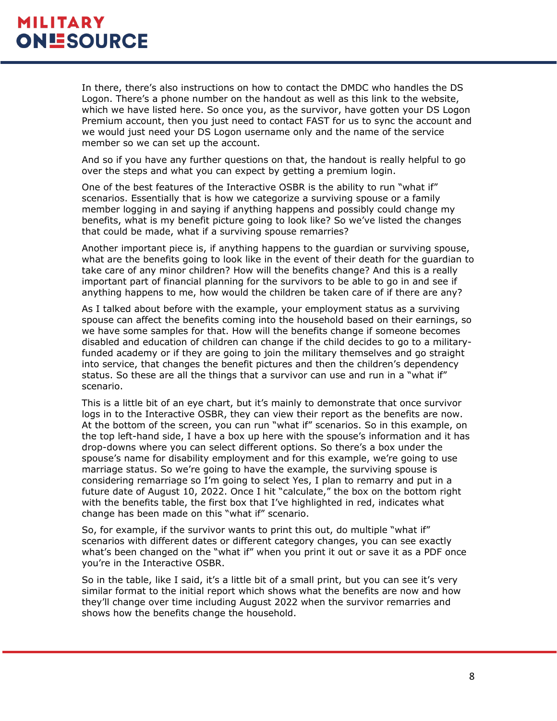In there, there's also instructions on how to contact the DMDC who handles the DS Logon. There's a phone number on the handout as well as this link to the website, which we have listed here. So once you, as the survivor, have gotten your DS Logon Premium account, then you just need to contact FAST for us to sync the account and we would just need your DS Logon username only and the name of the service member so we can set up the account.

And so if you have any further questions on that, the handout is really helpful to go over the steps and what you can expect by getting a premium login.

One of the best features of the Interactive OSBR is the ability to run "what if" scenarios. Essentially that is how we categorize a surviving spouse or a family member logging in and saying if anything happens and possibly could change my benefits, what is my benefit picture going to look like? So we've listed the changes that could be made, what if a surviving spouse remarries?

Another important piece is, if anything happens to the guardian or surviving spouse, what are the benefits going to look like in the event of their death for the guardian to take care of any minor children? How will the benefits change? And this is a really important part of financial planning for the survivors to be able to go in and see if anything happens to me, how would the children be taken care of if there are any?

As I talked about before with the example, your employment status as a surviving spouse can affect the benefits coming into the household based on their earnings, so we have some samples for that. How will the benefits change if someone becomes disabled and education of children can change if the child decides to go to a militaryfunded academy or if they are going to join the military themselves and go straight into service, that changes the benefit pictures and then the children's dependency status. So these are all the things that a survivor can use and run in a "what if" scenario.

This is a little bit of an eye chart, but it's mainly to demonstrate that once survivor logs in to the Interactive OSBR, they can view their report as the benefits are now. At the bottom of the screen, you can run "what if" scenarios. So in this example, on the top left-hand side, I have a box up here with the spouse's information and it has drop-downs where you can select different options. So there's a box under the spouse's name for disability employment and for this example, we're going to use marriage status. So we're going to have the example, the surviving spouse is considering remarriage so I'm going to select Yes, I plan to remarry and put in a future date of August 10, 2022. Once I hit "calculate," the box on the bottom right with the benefits table, the first box that I've highlighted in red, indicates what change has been made on this "what if" scenario.

So, for example, if the survivor wants to print this out, do multiple "what if" scenarios with different dates or different category changes, you can see exactly what's been changed on the "what if" when you print it out or save it as a PDF once you're in the Interactive OSBR.

So in the table, like I said, it's a little bit of a small print, but you can see it's very similar format to the initial report which shows what the benefits are now and how they'll change over time including August 2022 when the survivor remarries and shows how the benefits change the household.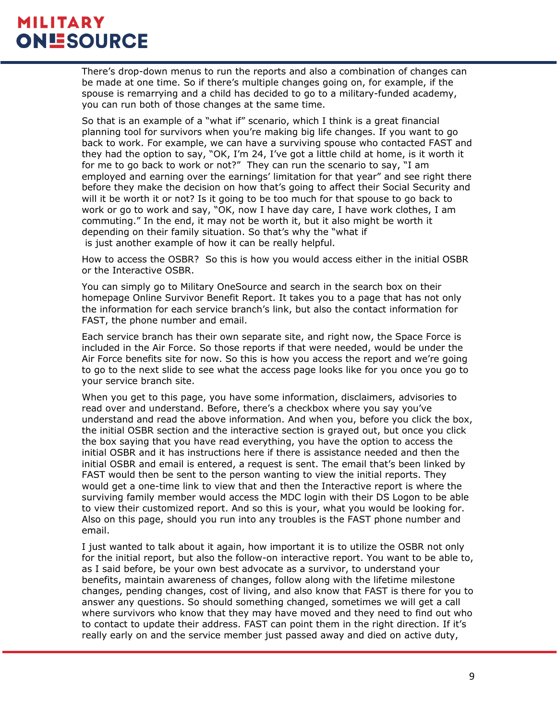There's drop-down menus to run the reports and also a combination of changes can be made at one time. So if there's multiple changes going on, for example, if the spouse is remarrying and a child has decided to go to a military-funded academy, you can run both of those changes at the same time.

So that is an example of a "what if" scenario, which I think is a great financial planning tool for survivors when you're making big life changes. If you want to go back to work. For example, we can have a surviving spouse who contacted FAST and they had the option to say, "OK, I'm 24, I've got a little child at home, is it worth it for me to go back to work or not?" They can run the scenario to say, "I am employed and earning over the earnings' limitation for that year" and see right there before they make the decision on how that's going to affect their Social Security and will it be worth it or not? Is it going to be too much for that spouse to go back to work or go to work and say, "OK, now I have day care, I have work clothes, I am commuting." In the end, it may not be worth it, but it also might be worth it depending on their family situation. So that's why the "what if is just another example of how it can be really helpful.

How to access the OSBR? So this is how you would access either in the initial OSBR or the Interactive OSBR.

You can simply go to Military OneSource and search in the search box on their homepage Online Survivor Benefit Report. It takes you to a page that has not only the information for each service branch's link, but also the contact information for FAST, the phone number and email.

Each service branch has their own separate site, and right now, the Space Force is included in the Air Force. So those reports if that were needed, would be under the Air Force benefits site for now. So this is how you access the report and we're going to go to the next slide to see what the access page looks like for you once you go to your service branch site.

When you get to this page, you have some information, disclaimers, advisories to read over and understand. Before, there's a checkbox where you say you've understand and read the above information. And when you, before you click the box, the initial OSBR section and the interactive section is grayed out, but once you click the box saying that you have read everything, you have the option to access the initial OSBR and it has instructions here if there is assistance needed and then the initial OSBR and email is entered, a request is sent. The email that's been linked by FAST would then be sent to the person wanting to view the initial reports. They would get a one-time link to view that and then the Interactive report is where the surviving family member would access the MDC login with their DS Logon to be able to view their customized report. And so this is your, what you would be looking for. Also on this page, should you run into any troubles is the FAST phone number and email.

I just wanted to talk about it again, how important it is to utilize the OSBR not only for the initial report, but also the follow-on interactive report. You want to be able to, as I said before, be your own best advocate as a survivor, to understand your benefits, maintain awareness of changes, follow along with the lifetime milestone changes, pending changes, cost of living, and also know that FAST is there for you to answer any questions. So should something changed, sometimes we will get a call where survivors who know that they may have moved and they need to find out who to contact to update their address. FAST can point them in the right direction. If it's really early on and the service member just passed away and died on active duty,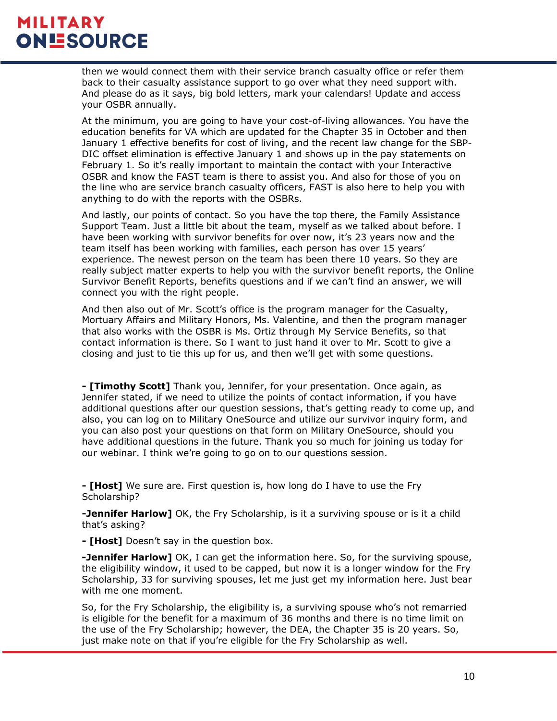then we would connect them with their service branch casualty office or refer them back to their casualty assistance support to go over what they need support with. And please do as it says, big bold letters, mark your calendars! Update and access your OSBR annually.

At the minimum, you are going to have your cost-of-living allowances. You have the education benefits for VA which are updated for the Chapter 35 in October and then January 1 effective benefits for cost of living, and the recent law change for the SBP-DIC offset elimination is effective January 1 and shows up in the pay statements on February 1. So it's really important to maintain the contact with your Interactive OSBR and know the FAST team is there to assist you. And also for those of you on the line who are service branch casualty officers, FAST is also here to help you with anything to do with the reports with the OSBRs.

And lastly, our points of contact. So you have the top there, the Family Assistance Support Team. Just a little bit about the team, myself as we talked about before. I have been working with survivor benefits for over now, it's 23 years now and the team itself has been working with families, each person has over 15 years' experience. The newest person on the team has been there 10 years. So they are really subject matter experts to help you with the survivor benefit reports, the Online Survivor Benefit Reports, benefits questions and if we can't find an answer, we will connect you with the right people.

And then also out of Mr. Scott's office is the program manager for the Casualty, Mortuary Affairs and Military Honors, Ms. Valentine, and then the program manager that also works with the OSBR is Ms. Ortiz through My Service Benefits, so that contact information is there. So I want to just hand it over to Mr. Scott to give a closing and just to tie this up for us, and then we'll get with some questions.

**- [Timothy Scott]** Thank you, Jennifer, for your presentation. Once again, as Jennifer stated, if we need to utilize the points of contact information, if you have additional questions after our question sessions, that's getting ready to come up, and also, you can log on to Military OneSource and utilize our survivor inquiry form, and you can also post your questions on that form on Military OneSource, should you have additional questions in the future. Thank you so much for joining us today for our webinar. I think we're going to go on to our questions session.

**- [Host]** We sure are. First question is, how long do I have to use the Fry Scholarship?

**-Jennifer Harlow]** OK, the Fry Scholarship, is it a surviving spouse or is it a child that's asking?

**- [Host]** Doesn't say in the question box.

**-Jennifer Harlow]** OK, I can get the information here. So, for the surviving spouse, the eligibility window, it used to be capped, but now it is a longer window for the Fry Scholarship, 33 for surviving spouses, let me just get my information here. Just bear with me one moment.

So, for the Fry Scholarship, the eligibility is, a surviving spouse who's not remarried is eligible for the benefit for a maximum of 36 months and there is no time limit on the use of the Fry Scholarship; however, the DEA, the Chapter 35 is 20 years. So, just make note on that if you're eligible for the Fry Scholarship as well.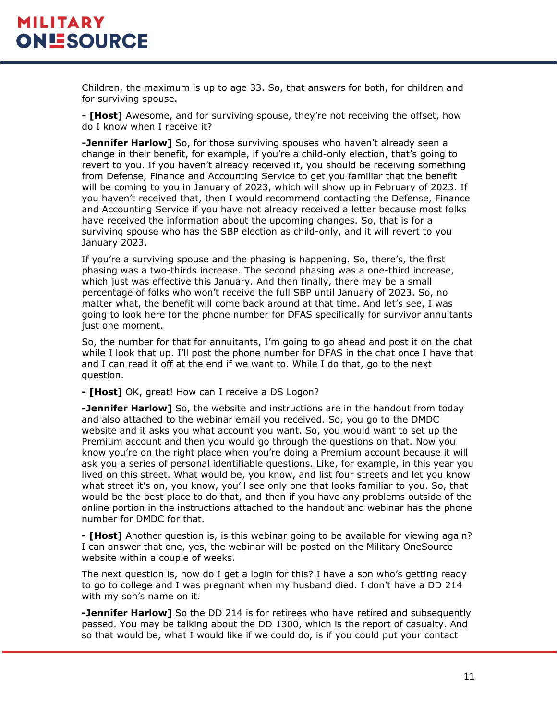Children, the maximum is up to age 33. So, that answers for both, for children and for surviving spouse.

**- [Host]** Awesome, and for surviving spouse, they're not receiving the offset, how do I know when I receive it?

**-Jennifer Harlow]** So, for those surviving spouses who haven't already seen a change in their benefit, for example, if you're a child-only election, that's going to revert to you. If you haven't already received it, you should be receiving something from Defense, Finance and Accounting Service to get you familiar that the benefit will be coming to you in January of 2023, which will show up in February of 2023. If you haven't received that, then I would recommend contacting the Defense, Finance and Accounting Service if you have not already received a letter because most folks have received the information about the upcoming changes. So, that is for a surviving spouse who has the SBP election as child-only, and it will revert to you January 2023.

If you're a surviving spouse and the phasing is happening. So, there's, the first phasing was a two-thirds increase. The second phasing was a one-third increase, which just was effective this January. And then finally, there may be a small percentage of folks who won't receive the full SBP until January of 2023. So, no matter what, the benefit will come back around at that time. And let's see, I was going to look here for the phone number for DFAS specifically for survivor annuitants just one moment.

So, the number for that for annuitants, I'm going to go ahead and post it on the chat while I look that up. I'll post the phone number for DFAS in the chat once I have that and I can read it off at the end if we want to. While I do that, go to the next question.

**- [Host]** OK, great! How can I receive a DS Logon?

**-Jennifer Harlow]** So, the website and instructions are in the handout from today and also attached to the webinar email you received. So, you go to the DMDC website and it asks you what account you want. So, you would want to set up the Premium account and then you would go through the questions on that. Now you know you're on the right place when you're doing a Premium account because it will ask you a series of personal identifiable questions. Like, for example, in this year you lived on this street. What would be, you know, and list four streets and let you know what street it's on, you know, you'll see only one that looks familiar to you. So, that would be the best place to do that, and then if you have any problems outside of the online portion in the instructions attached to the handout and webinar has the phone number for DMDC for that.

**- [Host]** Another question is, is this webinar going to be available for viewing again? I can answer that one, yes, the webinar will be posted on the Military OneSource website within a couple of weeks.

The next question is, how do I get a login for this? I have a son who's getting ready to go to college and I was pregnant when my husband died. I don't have a DD 214 with my son's name on it.

**-Jennifer Harlow]** So the DD 214 is for retirees who have retired and subsequently passed. You may be talking about the DD 1300, which is the report of casualty. And so that would be, what I would like if we could do, is if you could put your contact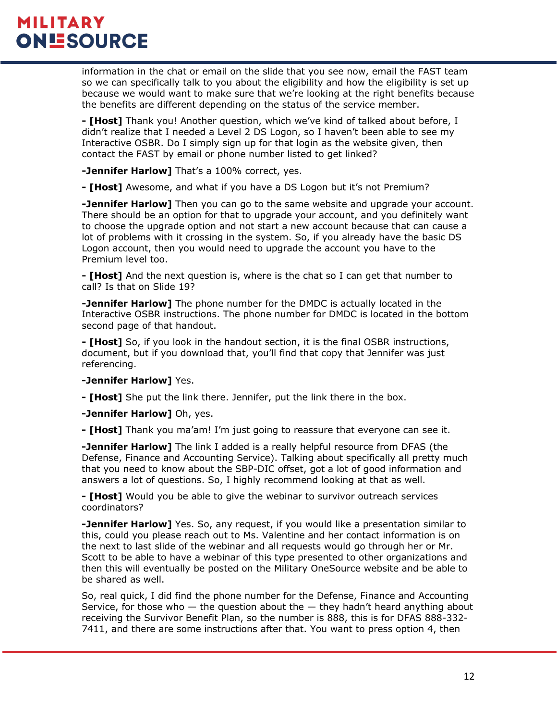information in the chat or email on the slide that you see now, email the FAST team so we can specifically talk to you about the eligibility and how the eligibility is set up because we would want to make sure that we're looking at the right benefits because the benefits are different depending on the status of the service member.

**- [Host]** Thank you! Another question, which we've kind of talked about before, I didn't realize that I needed a Level 2 DS Logon, so I haven't been able to see my Interactive OSBR. Do I simply sign up for that login as the website given, then contact the FAST by email or phone number listed to get linked?

**-Jennifer Harlow]** That's a 100% correct, yes.

**- [Host]** Awesome, and what if you have a DS Logon but it's not Premium?

**-Jennifer Harlow]** Then you can go to the same website and upgrade your account. There should be an option for that to upgrade your account, and you definitely want to choose the upgrade option and not start a new account because that can cause a lot of problems with it crossing in the system. So, if you already have the basic DS Logon account, then you would need to upgrade the account you have to the Premium level too.

**- [Host]** And the next question is, where is the chat so I can get that number to call? Is that on Slide 19?

**-Jennifer Harlow]** The phone number for the DMDC is actually located in the Interactive OSBR instructions. The phone number for DMDC is located in the bottom second page of that handout.

**- [Host]** So, if you look in the handout section, it is the final OSBR instructions, document, but if you download that, you'll find that copy that Jennifer was just referencing.

#### **-Jennifer Harlow]** Yes.

**- [Host]** She put the link there. Jennifer, put the link there in the box.

**-Jennifer Harlow]** Oh, yes.

**- [Host]** Thank you ma'am! I'm just going to reassure that everyone can see it.

**-Jennifer Harlow]** The link I added is a really helpful resource from DFAS (the Defense, Finance and Accounting Service). Talking about specifically all pretty much that you need to know about the SBP-DIC offset, got a lot of good information and answers a lot of questions. So, I highly recommend looking at that as well.

**- [Host]** Would you be able to give the webinar to survivor outreach services coordinators?

**-Jennifer Harlow]** Yes. So, any request, if you would like a presentation similar to this, could you please reach out to Ms. Valentine and her contact information is on the next to last slide of the webinar and all requests would go through her or Mr. Scott to be able to have a webinar of this type presented to other organizations and then this will eventually be posted on the Military OneSource website and be able to be shared as well.

So, real quick, I did find the phone number for the Defense, Finance and Accounting Service, for those who  $-$  the question about the  $-$  they hadn't heard anything about receiving the Survivor Benefit Plan, so the number is 888, this is for DFAS 888-332- 7411, and there are some instructions after that. You want to press option 4, then